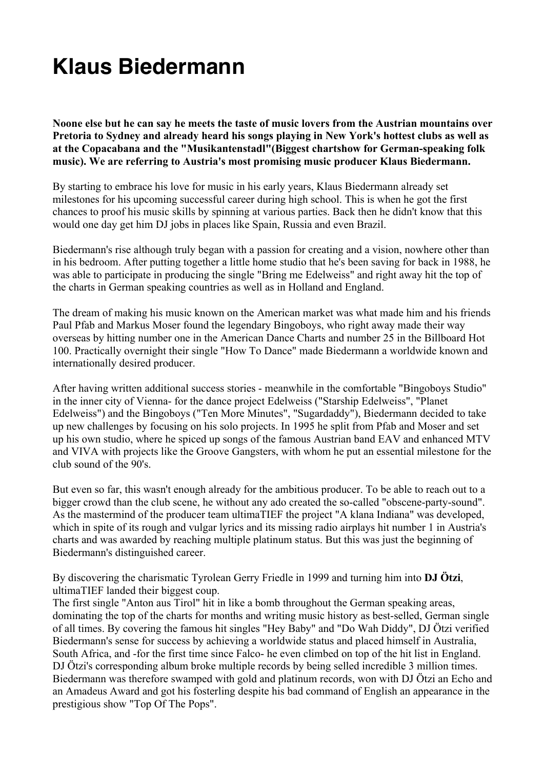## **Klaus Biedermann**

**Noone else but he can say he meets the taste of music lovers from the Austrian mountains over Pretoria to Sydney and already heard his songs playing in New York's hottest clubs as well as at the Copacabana and the "Musikantenstadl"(Biggest chartshow for German-speaking folk music). We are referring to Austria's most promising music producer Klaus Biedermann.**

By starting to embrace his love for music in his early years, Klaus Biedermann already set milestones for his upcoming successful career during high school. This is when he got the first chances to proof his music skills by spinning at various parties. Back then he didn't know that this would one day get him DJ jobs in places like Spain, Russia and even Brazil.

Biedermann's rise although truly began with a passion for creating and a vision, nowhere other than in his bedroom. After putting together a little home studio that he's been saving for back in 1988, he was able to participate in producing the single "Bring me Edelweiss" and right away hit the top of the charts in German speaking countries as well as in Holland and England.

The dream of making his music known on the American market was what made him and his friends Paul Pfab and Markus Moser found the legendary Bingoboys, who right away made their way overseas by hitting number one in the American Dance Charts and number 25 in the Billboard Hot 100. Practically overnight their single "How To Dance" made Biedermann a worldwide known and internationally desired producer.

After having written additional success stories - meanwhile in the comfortable "Bingoboys Studio" in the inner city of Vienna- for the dance project Edelweiss ("Starship Edelweiss", "Planet Edelweiss") and the Bingoboys ("Ten More Minutes", "Sugardaddy"), Biedermann decided to take up new challenges by focusing on his solo projects. In 1995 he split from Pfab and Moser and set up his own studio, where he spiced up songs of the famous Austrian band EAV and enhanced MTV and VIVA with projects like the Groove Gangsters, with whom he put an essential milestone for the club sound of the 90's.

But even so far, this wasn't enough already for the ambitious producer. To be able to reach out to a bigger crowd than the club scene, he without any ado created the so-called "obscene-party-sound". As the mastermind of the producer team ultimaTIEF the project "A klana Indiana" was developed, which in spite of its rough and vulgar lyrics and its missing radio airplays hit number 1 in Austria's charts and was awarded by reaching multiple platinum status. But this was just the beginning of Biedermann's distinguished career.

By discovering the charismatic Tyrolean Gerry Friedle in 1999 and turning him into **DJ Ötzi**, ultimaTIEF landed their biggest coup.

The first single "Anton aus Tirol" hit in like a bomb throughout the German speaking areas, dominating the top of the charts for months and writing music history as best-selled, German single of all times. By covering the famous hit singles "Hey Baby" and "Do Wah Diddy", DJ Ötzi verified Biedermann's sense for success by achieving a worldwide status and placed himself in Australia, South Africa, and -for the first time since Falco- he even climbed on top of the hit list in England. DJ Ötzi's corresponding album broke multiple records by being selled incredible 3 million times. Biedermann was therefore swamped with gold and platinum records, won with DJ Ötzi an Echo and an Amadeus Award and got his fosterling despite his bad command of English an appearance in the prestigious show "Top Of The Pops".